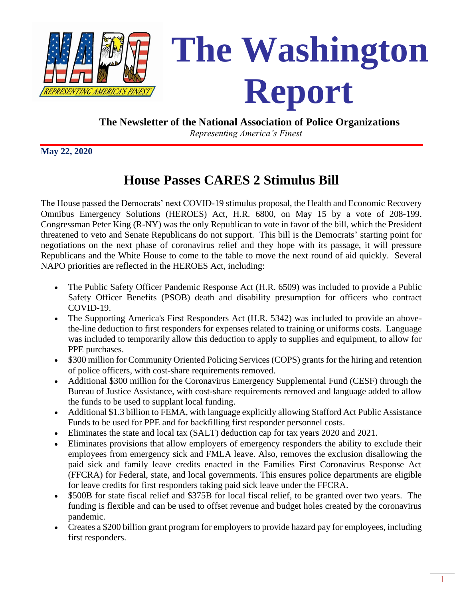

# **The Washington RepRESENTING AMERICA'S FINEST Report**

 **The Newsletter of the National Association of Police Organizations**

*Representing America's Finest*

**May 22, 2020**

# **House Passes CARES 2 Stimulus Bill**

The House passed the Democrats' next COVID-19 stimulus proposal, the Health and Economic Recovery Omnibus Emergency Solutions (HEROES) Act, H.R. 6800, on May 15 by a vote of 208-199. Congressman Peter King (R-NY) was the only Republican to vote in favor of the bill, which the President threatened to veto and Senate Republicans do not support. This bill is the Democrats' starting point for negotiations on the next phase of coronavirus relief and they hope with its passage, it will pressure Republicans and the White House to come to the table to move the next round of aid quickly. Several NAPO priorities are reflected in the HEROES Act, including:

- The Public Safety Officer Pandemic Response Act (H.R. 6509) was included to provide a Public Safety Officer Benefits (PSOB) death and disability presumption for officers who contract COVID-19.
- The Supporting America's First Responders Act (H.R. 5342) was included to provide an abovethe-line deduction to first responders for expenses related to training or uniforms costs. Language was included to temporarily allow this deduction to apply to supplies and equipment, to allow for PPE purchases.
- \$300 million for Community Oriented Policing Services (COPS) grants for the hiring and retention of police officers, with cost-share requirements removed.
- Additional \$300 million for the Coronavirus Emergency Supplemental Fund (CESF) through the Bureau of Justice Assistance, with cost-share requirements removed and language added to allow the funds to be used to supplant local funding.
- Additional \$1.3 billion to FEMA, with language explicitly allowing Stafford Act Public Assistance Funds to be used for PPE and for backfilling first responder personnel costs.
- Eliminates the state and local tax (SALT) deduction cap for tax years 2020 and 2021.
- Eliminates provisions that allow employers of emergency responders the ability to exclude their employees from emergency sick and FMLA leave. Also, removes the exclusion disallowing the paid sick and family leave credits enacted in the Families First Coronavirus Response Act (FFCRA) for Federal, state, and local governments. This ensures police departments are eligible for leave credits for first responders taking paid sick leave under the FFCRA.
- \$500B for state fiscal relief and \$375B for local fiscal relief, to be granted over two years. The funding is flexible and can be used to offset revenue and budget holes created by the coronavirus pandemic.
- Creates a \$200 billion grant program for employers to provide hazard pay for employees, including first responders.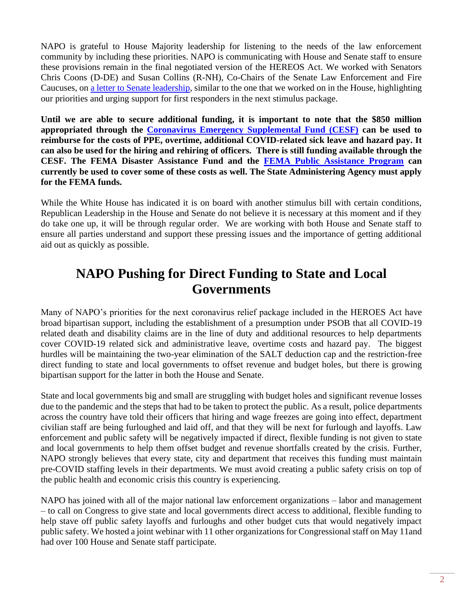NAPO is grateful to House Majority leadership for listening to the needs of the law enforcement community by including these priorities. NAPO is communicating with House and Senate staff to ensure these provisions remain in the final negotiated version of the HEREOS Act. We worked with Senators Chris Coons (D-DE) and Susan Collins (R-NH), Co-Chairs of the Senate Law Enforcement and Fire Caucuses, on [a letter to Senate leadership,](Coons-Collins%20C-4%20First%20Responders%20Letter%20to%20Leadership%20(1).pdf) similar to the one that we worked on in the House, highlighting our priorities and urging support for first responders in the next stimulus package.

**Until we are able to secure additional funding, it is important to note that the \$850 million appropriated through the [Coronavirus Emergency Supplemental Fund \(CESF\)](https://bja.ojp.gov/program/cesf/state-and-local-allocations) can be used to reimburse for the costs of PPE, overtime, additional COVID-related sick leave and hazard pay. It can also be used for the hiring and rehiring of officers. There is still funding available through the CESF. The FEMA Disaster Assistance Fund and the [FEMA Public Assistance Program](https://www.fema.gov/news-release/2020/03/19/coronavirus-covid-19-pandemic-eligible-emergency-protective-measures) can currently be used to cover some of these costs as well. The State Administering Agency must apply for the FEMA funds.**

While the White House has indicated it is on board with another stimulus bill with certain conditions, Republican Leadership in the House and Senate do not believe it is necessary at this moment and if they do take one up, it will be through regular order. We are working with both House and Senate staff to ensure all parties understand and support these pressing issues and the importance of getting additional aid out as quickly as possible.

#### **NAPO Pushing for Direct Funding to State and Local Governments**

Many of NAPO's priorities for the next coronavirus relief package included in the HEROES Act have broad bipartisan support, including the establishment of a presumption under PSOB that all COVID-19 related death and disability claims are in the line of duty and additional resources to help departments cover COVID-19 related sick and administrative leave, overtime costs and hazard pay. The biggest hurdles will be maintaining the two-year elimination of the SALT deduction cap and the restriction-free direct funding to state and local governments to offset revenue and budget holes, but there is growing bipartisan support for the latter in both the House and Senate.

State and local governments big and small are struggling with budget holes and significant revenue losses due to the pandemic and the steps that had to be taken to protect the public. As a result, police departments across the country have told their officers that hiring and wage freezes are going into effect, department civilian staff are being furloughed and laid off, and that they will be next for furlough and layoffs. Law enforcement and public safety will be negatively impacted if direct, flexible funding is not given to state and local governments to help them offset budget and revenue shortfalls created by the crisis. Further, NAPO strongly believes that every state, city and department that receives this funding must maintain pre-COVID staffing levels in their departments. We must avoid creating a public safety crisis on top of the public health and economic crisis this country is experiencing.

NAPO has joined with all of the major national law enforcement organizations – labor and management – to call on Congress to give state and local governments direct access to additional, flexible funding to help stave off public safety layoffs and furloughs and other budget cuts that would negatively impact public safety. We hosted a joint webinar with 11 other organizations for Congressional staff on May 11and had over 100 House and Senate staff participate.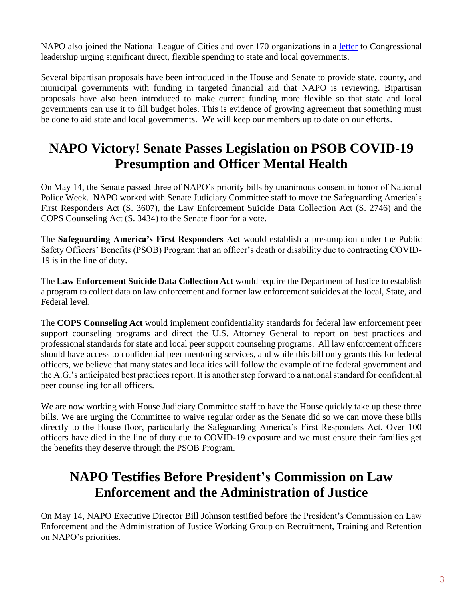NAPO also joined the National League of Cities and over 170 organizations in a [letter](https://www.nlc.org/article/more-than-170-businesses-and-community-organizations-call-on-congressional-leaders-to) to Congressional leadership urging significant direct, flexible spending to state and local governments.

Several bipartisan proposals have been introduced in the House and Senate to provide state, county, and municipal governments with funding in targeted financial aid that NAPO is reviewing. Bipartisan proposals have also been introduced to make current funding more flexible so that state and local governments can use it to fill budget holes. This is evidence of growing agreement that something must be done to aid state and local governments. We will keep our members up to date on our efforts.

### **NAPO Victory! Senate Passes Legislation on PSOB COVID-19 Presumption and Officer Mental Health**

On May 14, the Senate passed three of NAPO's priority bills by unanimous consent in honor of National Police Week. NAPO worked with Senate Judiciary Committee staff to move the Safeguarding America's First Responders Act (S. 3607), the Law Enforcement Suicide Data Collection Act (S. 2746) and the COPS Counseling Act (S. 3434) to the Senate floor for a vote.

The **Safeguarding America's First Responders Act** would establish a presumption under the Public Safety Officers' Benefits (PSOB) Program that an officer's death or disability due to contracting COVID-19 is in the line of duty.

The **Law Enforcement Suicide Data Collection Act** would require the Department of Justice to establish a program to collect data on law enforcement and former law enforcement suicides at the local, State, and Federal level.

The **COPS Counseling Act** would implement confidentiality standards for federal law enforcement peer support counseling programs and direct the U.S. Attorney General to report on best practices and professional standards for state and local peer support counseling programs. All law enforcement officers should have access to confidential peer mentoring services, and while this bill only grants this for federal officers, we believe that many states and localities will follow the example of the federal government and the A.G.'s anticipated best practices report. It is another step forward to a national standard for confidential peer counseling for all officers.

We are now working with House Judiciary Committee staff to have the House quickly take up these three bills. We are urging the Committee to waive regular order as the Senate did so we can move these bills directly to the House floor, particularly the Safeguarding America's First Responders Act. Over 100 officers have died in the line of duty due to COVID-19 exposure and we must ensure their families get the benefits they deserve through the PSOB Program.

#### **NAPO Testifies Before President's Commission on Law Enforcement and the Administration of Justice**

On May 14, NAPO Executive Director Bill Johnson testified before the President's Commission on Law Enforcement and the Administration of Justice Working Group on Recruitment, Training and Retention on NAPO's priorities.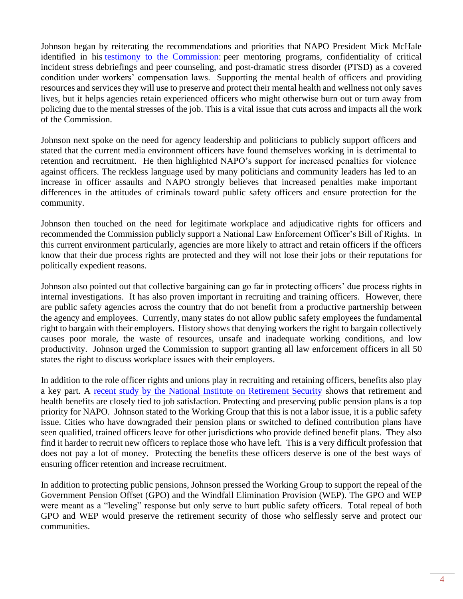Johnson began by reiterating the recommendations and priorities that NAPO President Mick McHale identified in his [testimony to the Commission:](http://www.napo.org/index.php/download_file/view/3221/904/) peer mentoring programs, confidentiality of critical incident stress debriefings and peer counseling, and post-dramatic stress disorder (PTSD) as a covered condition under workers' compensation laws. Supporting the mental health of officers and providing resources and services they will use to preserve and protect their mental health and wellness not only saves lives, but it helps agencies retain experienced officers who might otherwise burn out or turn away from policing due to the mental stresses of the job. This is a vital issue that cuts across and impacts all the work of the Commission.

Johnson next spoke on the need for agency leadership and politicians to publicly support officers and stated that the current media environment officers have found themselves working in is detrimental to retention and recruitment. He then highlighted NAPO's support for increased penalties for violence against officers. The reckless language used by many politicians and community leaders has led to an increase in officer assaults and NAPO strongly believes that increased penalties make important differences in the attitudes of criminals toward public safety officers and ensure protection for the community.

Johnson then touched on the need for legitimate workplace and adjudicative rights for officers and recommended the Commission publicly support a National Law Enforcement Officer's Bill of Rights. In this current environment particularly, agencies are more likely to attract and retain officers if the officers know that their due process rights are protected and they will not lose their jobs or their reputations for politically expedient reasons.

Johnson also pointed out that collective bargaining can go far in protecting officers' due process rights in internal investigations. It has also proven important in recruiting and training officers. However, there are public safety agencies across the country that do not benefit from a productive partnership between the agency and employees. Currently, many states do not allow public safety employees the fundamental right to bargain with their employers. History shows that denying workers the right to bargain collectively causes poor morale, the waste of resources, unsafe and inadequate working conditions, and low productivity. Johnson urged the Commission to support granting all law enforcement officers in all 50 states the right to discuss workplace issues with their employers.

In addition to the role officer rights and unions play in recruiting and retaining officers, benefits also play a key part. A [recent study by the National Institute on Retirement Security](https://www.nirsonline.org/wp-content/uploads/2019/11/Police_FactSheet_FINAL.pdf) shows that retirement and health benefits are closely tied to job satisfaction. Protecting and preserving public pension plans is a top priority for NAPO. Johnson stated to the Working Group that this is not a labor issue, it is a public safety issue. Cities who have downgraded their pension plans or switched to defined contribution plans have seen qualified, trained officers leave for other jurisdictions who provide defined benefit plans. They also find it harder to recruit new officers to replace those who have left. This is a very difficult profession that does not pay a lot of money. Protecting the benefits these officers deserve is one of the best ways of ensuring officer retention and increase recruitment.

In addition to protecting public pensions, Johnson pressed the Working Group to support the repeal of the Government Pension Offset (GPO) and the Windfall Elimination Provision (WEP). The GPO and WEP were meant as a "leveling" response but only serve to hurt public safety officers. Total repeal of both GPO and WEP would preserve the retirement security of those who selflessly serve and protect our communities.